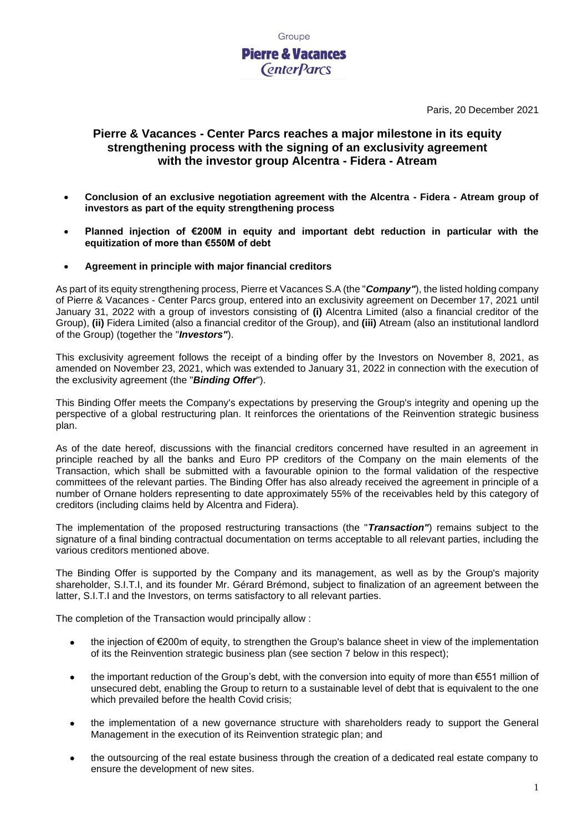

Paris, 20 December 2021

# **Pierre & Vacances - Center Parcs reaches a major milestone in its equity strengthening process with the signing of an exclusivity agreement with the investor group Alcentra - Fidera - Atream**

- **Conclusion of an exclusive negotiation agreement with the Alcentra - Fidera - Atream group of investors as part of the equity strengthening process**
- **Planned injection of €200M in equity and important debt reduction in particular with the equitization of more than €550M of debt**
- **Agreement in principle with major financial creditors**

As part of its equity strengthening process, Pierre et Vacances S.A (the "*Company"*), the listed holding company of Pierre & Vacances - Center Parcs group, entered into an exclusivity agreement on December 17, 2021 until January 31, 2022 with a group of investors consisting of **(i)** Alcentra Limited (also a financial creditor of the Group), **(ii)** Fidera Limited (also a financial creditor of the Group), and **(iii)** Atream (also an institutional landlord of the Group) (together the "*Investors"*).

This exclusivity agreement follows the receipt of a binding offer by the Investors on November 8, 2021, as amended on November 23, 2021, which was extended to January 31, 2022 in connection with the execution of the exclusivity agreement (the "*Binding Offer*").

This Binding Offer meets the Company's expectations by preserving the Group's integrity and opening up the perspective of a global restructuring plan. It reinforces the orientations of the Reinvention strategic business plan.

As of the date hereof, discussions with the financial creditors concerned have resulted in an agreement in principle reached by all the banks and Euro PP creditors of the Company on the main elements of the Transaction, which shall be submitted with a favourable opinion to the formal validation of the respective committees of the relevant parties. The Binding Offer has also already received the agreement in principle of a number of Ornane holders representing to date approximately 55% of the receivables held by this category of creditors (including claims held by Alcentra and Fidera).

The implementation of the proposed restructuring transactions (the "*Transaction"*) remains subject to the signature of a final binding contractual documentation on terms acceptable to all relevant parties, including the various creditors mentioned above.

The Binding Offer is supported by the Company and its management, as well as by the Group's majority shareholder, S.I.T.I, and its founder Mr. Gérard Brémond, subject to finalization of an agreement between the latter, S.I.T.I and the Investors, on terms satisfactory to all relevant parties.

The completion of the Transaction would principally allow :

- the injection of €200m of equity, to strengthen the Group's balance sheet in view of the implementation of its the Reinvention strategic business plan (see section 7 below in this respect);
- the important reduction of the Group's debt, with the conversion into equity of more than €551 million of unsecured debt, enabling the Group to return to a sustainable level of debt that is equivalent to the one which prevailed before the health Covid crisis;
- the implementation of a new governance structure with shareholders ready to support the General Management in the execution of its Reinvention strategic plan; and
- the outsourcing of the real estate business through the creation of a dedicated real estate company to ensure the development of new sites.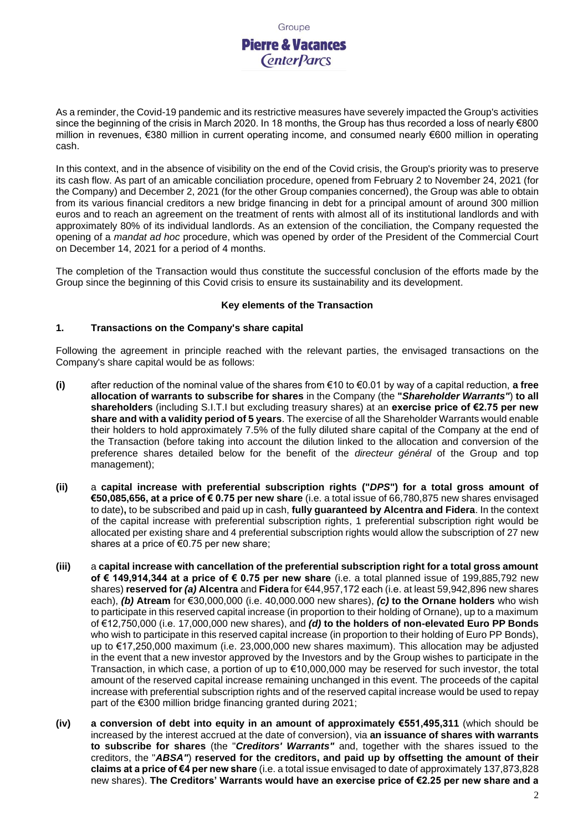Groupe **Pierre & Vacances CenterParcs** 

As a reminder, the Covid-19 pandemic and its restrictive measures have severely impacted the Group's activities since the beginning of the crisis in March 2020. In 18 months, the Group has thus recorded a loss of nearly €800 million in revenues, €380 million in current operating income, and consumed nearly €600 million in operating cash.

In this context, and in the absence of visibility on the end of the Covid crisis, the Group's priority was to preserve its cash flow. As part of an amicable conciliation procedure, opened from February 2 to November 24, 2021 (for the Company) and December 2, 2021 (for the other Group companies concerned), the Group was able to obtain from its various financial creditors a new bridge financing in debt for a principal amount of around 300 million euros and to reach an agreement on the treatment of rents with almost all of its institutional landlords and with approximately 80% of its individual landlords. As an extension of the conciliation, the Company requested the opening of a *mandat ad hoc* procedure, which was opened by order of the President of the Commercial Court on December 14, 2021 for a period of 4 months.

The completion of the Transaction would thus constitute the successful conclusion of the efforts made by the Group since the beginning of this Covid crisis to ensure its sustainability and its development.

### **Key elements of the Transaction**

### **1. Transactions on the Company's share capital**

Following the agreement in principle reached with the relevant parties, the envisaged transactions on the Company's share capital would be as follows:

- **(i)** after reduction of the nominal value of the shares from €10 to €0.01 by way of a capital reduction, **a free allocation of warrants to subscribe for shares** in the Company (the **"***Shareholder Warrants"*) **to all shareholders** (including S.I.T.I but excluding treasury shares) at an **exercise price of €2.75 per new share and with a validity period of 5 years**. The exercise of all the Shareholder Warrants would enable their holders to hold approximately 7.5% of the fully diluted share capital of the Company at the end of the Transaction (before taking into account the dilution linked to the allocation and conversion of the preference shares detailed below for the benefit of the *directeur général* of the Group and top management);
- **(ii)** a **capital increase with preferential subscription rights ("***DPS***") for a total gross amount of €50,085,656, at a price of € 0.75 per new share** (i.e. a total issue of 66,780,875 new shares envisaged to date)**,** to be subscribed and paid up in cash, **fully guaranteed by Alcentra and Fidera**. In the context of the capital increase with preferential subscription rights, 1 preferential subscription right would be allocated per existing share and 4 preferential subscription rights would allow the subscription of 27 new shares at a price of €0.75 per new share;
- **(iii)** a **capital increase with cancellation of the preferential subscription right for a total gross amount of € 149,914,344 at a price of € 0.75 per new share** (i.e. a total planned issue of 199,885,792 new shares) **reserved for** *(a)* **Alcentra** and **Fidera** for €44,957,172 each (i.e. at least 59,942,896 new shares each), *(b)* **Atream** for €30,000,000 (i.e. 40,000.000 new shares), *(c)* **to the Ornane holders** who wish to participate in this reserved capital increase (in proportion to their holding of Ornane), up to a maximum of €12,750,000 (i.e. 17,000,000 new shares), and *(d)* **to the holders of non-elevated Euro PP Bonds**  who wish to participate in this reserved capital increase (in proportion to their holding of Euro PP Bonds), up to €17,250,000 maximum (i.e. 23,000,000 new shares maximum). This allocation may be adjusted in the event that a new investor approved by the Investors and by the Group wishes to participate in the Transaction, in which case, a portion of up to €10,000,000 may be reserved for such investor, the total amount of the reserved capital increase remaining unchanged in this event. The proceeds of the capital increase with preferential subscription rights and of the reserved capital increase would be used to repay part of the €300 million bridge financing granted during 2021;
- **(iv) a conversion of debt into equity in an amount of approximately €551,495,311** (which should be increased by the interest accrued at the date of conversion), via **an issuance of shares with warrants to subscribe for shares** (the "*Creditors' Warrants"* and, together with the shares issued to the creditors, the "*ABSA"*) **reserved for the creditors, and paid up by offsetting the amount of their claims at a price of €4 per new share** (i.e. a total issue envisaged to date of approximately 137,873,828 new shares). **The Creditors' Warrants would have an exercise price of €2.25 per new share and a**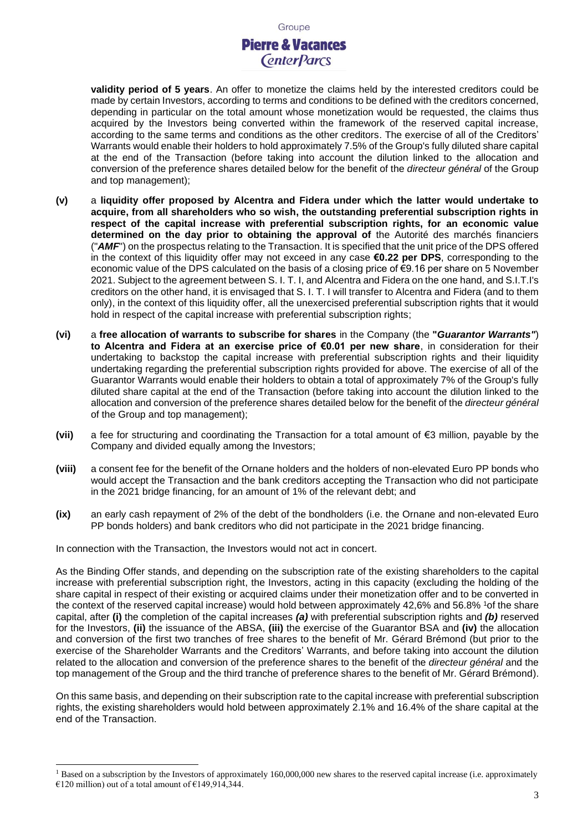**validity period of 5 years**. An offer to monetize the claims held by the interested creditors could be made by certain Investors, according to terms and conditions to be defined with the creditors concerned, depending in particular on the total amount whose monetization would be requested, the claims thus acquired by the Investors being converted within the framework of the reserved capital increase, according to the same terms and conditions as the other creditors. The exercise of all of the Creditors' Warrants would enable their holders to hold approximately 7.5% of the Group's fully diluted share capital at the end of the Transaction (before taking into account the dilution linked to the allocation and conversion of the preference shares detailed below for the benefit of the *directeur général* of the Group and top management);

- **(v)** a **liquidity offer proposed by Alcentra and Fidera under which the latter would undertake to acquire, from all shareholders who so wish, the outstanding preferential subscription rights in respect of the capital increase with preferential subscription rights, for an economic value determined on the day prior to obtaining the approval of** the Autorité des marchés financiers ("*AMF*") on the prospectus relating to the Transaction. It is specified that the unit price of the DPS offered in the context of this liquidity offer may not exceed in any case **€0.22 per DPS**, corresponding to the economic value of the DPS calculated on the basis of a closing price of €9.16 per share on 5 November 2021. Subject to the agreement between S. I. T. I, and Alcentra and Fidera on the one hand, and S.I.T.I's creditors on the other hand, it is envisaged that S. I. T. I will transfer to Alcentra and Fidera (and to them only), in the context of this liquidity offer, all the unexercised preferential subscription rights that it would hold in respect of the capital increase with preferential subscription rights;
- **(vi)** a **free allocation of warrants to subscribe for shares** in the Company (the **"***Guarantor Warrants"*) **to Alcentra and Fidera at an exercise price of €0.01 per new share**, in consideration for their undertaking to backstop the capital increase with preferential subscription rights and their liquidity undertaking regarding the preferential subscription rights provided for above. The exercise of all of the Guarantor Warrants would enable their holders to obtain a total of approximately 7% of the Group's fully diluted share capital at the end of the Transaction (before taking into account the dilution linked to the allocation and conversion of the preference shares detailed below for the benefit of the *directeur général* of the Group and top management);
- **(vii)** a fee for structuring and coordinating the Transaction for a total amount of €3 million, payable by the Company and divided equally among the Investors;
- **(viii)** a consent fee for the benefit of the Ornane holders and the holders of non-elevated Euro PP bonds who would accept the Transaction and the bank creditors accepting the Transaction who did not participate in the 2021 bridge financing, for an amount of 1% of the relevant debt; and
- **(ix)** an early cash repayment of 2% of the debt of the bondholders (i.e. the Ornane and non-elevated Euro PP bonds holders) and bank creditors who did not participate in the 2021 bridge financing.

In connection with the Transaction, the Investors would not act in concert.

As the Binding Offer stands, and depending on the subscription rate of the existing shareholders to the capital increase with preferential subscription right, the Investors, acting in this capacity (excluding the holding of the share capital in respect of their existing or acquired claims under their monetization offer and to be converted in the context of the reserved capital increase) would hold between approximately 42,6% and 56.8% <sup>1</sup>of the share capital, after **(i)** the completion of the capital increases *(a)* with preferential subscription rights and *(b)* reserved for the Investors, **(ii)** the issuance of the ABSA, **(iii)** the exercise of the Guarantor BSA and **(iv)** the allocation and conversion of the first two tranches of free shares to the benefit of Mr. Gérard Brémond (but prior to the exercise of the Shareholder Warrants and the Creditors' Warrants, and before taking into account the dilution related to the allocation and conversion of the preference shares to the benefit of the *directeur général* and the top management of the Group and the third tranche of preference shares to the benefit of Mr. Gérard Brémond).

On this same basis, and depending on their subscription rate to the capital increase with preferential subscription rights, the existing shareholders would hold between approximately 2.1% and 16.4% of the share capital at the end of the Transaction.

<sup>&</sup>lt;sup>1</sup> Based on a subscription by the Investors of approximately 160,000,000 new shares to the reserved capital increase (i.e. approximately €120 million) out of a total amount of €149,914,344.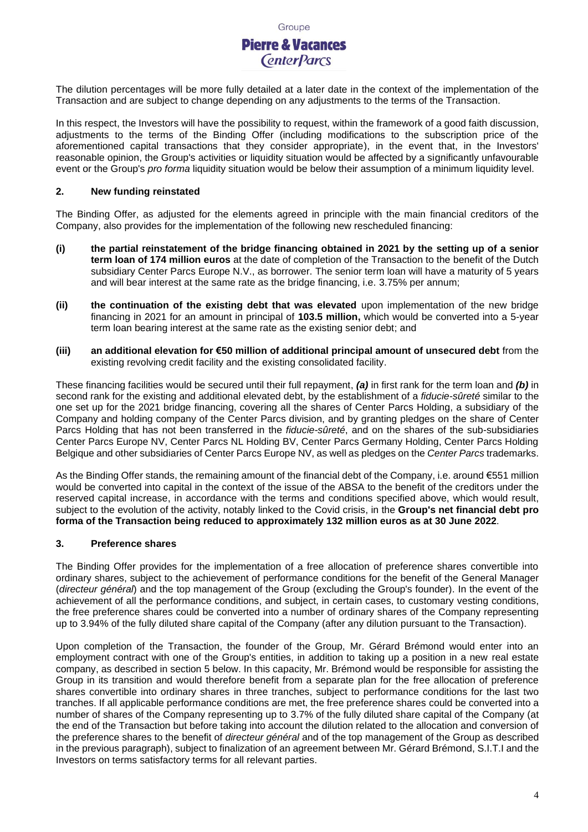

The dilution percentages will be more fully detailed at a later date in the context of the implementation of the Transaction and are subject to change depending on any adjustments to the terms of the Transaction.

In this respect, the Investors will have the possibility to request, within the framework of a good faith discussion, adjustments to the terms of the Binding Offer (including modifications to the subscription price of the aforementioned capital transactions that they consider appropriate), in the event that, in the Investors' reasonable opinion, the Group's activities or liquidity situation would be affected by a significantly unfavourable event or the Group's *pro forma* liquidity situation would be below their assumption of a minimum liquidity level.

#### **2. New funding reinstated**

The Binding Offer, as adjusted for the elements agreed in principle with the main financial creditors of the Company, also provides for the implementation of the following new rescheduled financing:

- **(i) the partial reinstatement of the bridge financing obtained in 2021 by the setting up of a senior term loan of 174 million euros** at the date of completion of the Transaction to the benefit of the Dutch subsidiary Center Parcs Europe N.V., as borrower. The senior term loan will have a maturity of 5 years and will bear interest at the same rate as the bridge financing, i.e. 3.75% per annum;
- **(ii) the continuation of the existing debt that was elevated** upon implementation of the new bridge financing in 2021 for an amount in principal of **103.5 million,** which would be converted into a 5-year term loan bearing interest at the same rate as the existing senior debt; and
- **(iii) an additional elevation for €50 million of additional principal amount of unsecured debt** from the existing revolving credit facility and the existing consolidated facility.

These financing facilities would be secured until their full repayment, *(a)* in first rank for the term loan and *(b)* in second rank for the existing and additional elevated debt, by the establishment of a *fiducie-sûreté* similar to the one set up for the 2021 bridge financing, covering all the shares of Center Parcs Holding, a subsidiary of the Company and holding company of the Center Parcs division, and by granting pledges on the share of Center Parcs Holding that has not been transferred in the *fiducie-sûreté*, and on the shares of the sub-subsidiaries Center Parcs Europe NV, Center Parcs NL Holding BV, Center Parcs Germany Holding, Center Parcs Holding Belgique and other subsidiaries of Center Parcs Europe NV, as well as pledges on the *Center Parcs* trademarks.

As the Binding Offer stands, the remaining amount of the financial debt of the Company, i.e. around €551 million would be converted into capital in the context of the issue of the ABSA to the benefit of the creditors under the reserved capital increase, in accordance with the terms and conditions specified above, which would result, subject to the evolution of the activity, notably linked to the Covid crisis, in the **Group's net financial debt pro forma of the Transaction being reduced to approximately 132 million euros as at 30 June 2022**.

# **3. Preference shares**

The Binding Offer provides for the implementation of a free allocation of preference shares convertible into ordinary shares, subject to the achievement of performance conditions for the benefit of the General Manager (*directeur général*) and the top management of the Group (excluding the Group's founder). In the event of the achievement of all the performance conditions, and subject, in certain cases, to customary vesting conditions, the free preference shares could be converted into a number of ordinary shares of the Company representing up to 3.94% of the fully diluted share capital of the Company (after any dilution pursuant to the Transaction).

Upon completion of the Transaction, the founder of the Group, Mr. Gérard Brémond would enter into an employment contract with one of the Group's entities, in addition to taking up a position in a new real estate company, as described in section 5 below. In this capacity, Mr. Brémond would be responsible for assisting the Group in its transition and would therefore benefit from a separate plan for the free allocation of preference shares convertible into ordinary shares in three tranches, subject to performance conditions for the last two tranches. If all applicable performance conditions are met, the free preference shares could be converted into a number of shares of the Company representing up to 3.7% of the fully diluted share capital of the Company (at the end of the Transaction but before taking into account the dilution related to the allocation and conversion of the preference shares to the benefit of *directeur général* and of the top management of the Group as described in the previous paragraph), subject to finalization of an agreement between Mr. Gérard Brémond, S.I.T.I and the Investors on terms satisfactory terms for all relevant parties.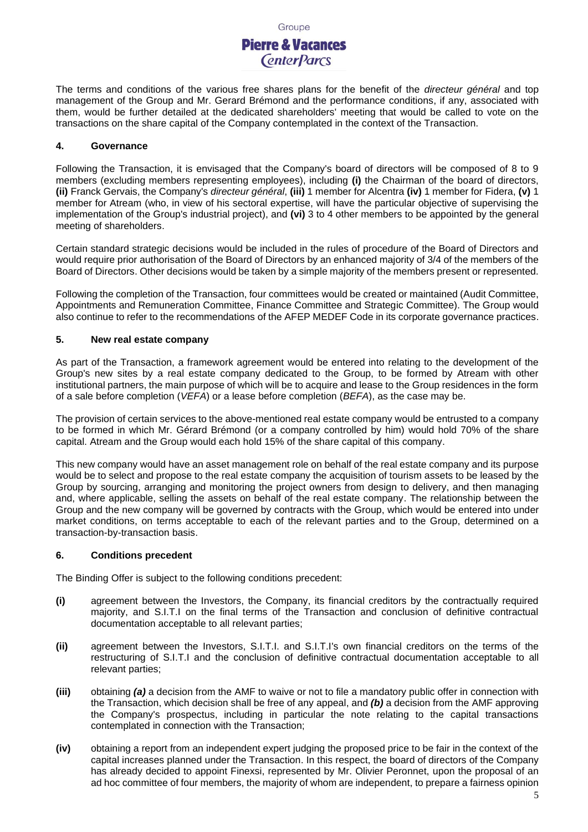

The terms and conditions of the various free shares plans for the benefit of the *directeur général* and top management of the Group and Mr. Gerard Brémond and the performance conditions, if any, associated with them, would be further detailed at the dedicated shareholders' meeting that would be called to vote on the transactions on the share capital of the Company contemplated in the context of the Transaction.

#### **4. Governance**

Following the Transaction, it is envisaged that the Company's board of directors will be composed of 8 to 9 members (excluding members representing employees), including **(i)** the Chairman of the board of directors, **(ii)** Franck Gervais, the Company's *directeur général*, **(iii)** 1 member for Alcentra **(iv)** 1 member for Fidera, **(v)** 1 member for Atream (who, in view of his sectoral expertise, will have the particular objective of supervising the implementation of the Group's industrial project), and **(vi)** 3 to 4 other members to be appointed by the general meeting of shareholders.

Certain standard strategic decisions would be included in the rules of procedure of the Board of Directors and would require prior authorisation of the Board of Directors by an enhanced majority of 3/4 of the members of the Board of Directors. Other decisions would be taken by a simple majority of the members present or represented.

Following the completion of the Transaction, four committees would be created or maintained (Audit Committee, Appointments and Remuneration Committee, Finance Committee and Strategic Committee). The Group would also continue to refer to the recommendations of the AFEP MEDEF Code in its corporate governance practices.

#### **5. New real estate company**

As part of the Transaction, a framework agreement would be entered into relating to the development of the Group's new sites by a real estate company dedicated to the Group, to be formed by Atream with other institutional partners, the main purpose of which will be to acquire and lease to the Group residences in the form of a sale before completion (*VEFA*) or a lease before completion (*BEFA*), as the case may be.

The provision of certain services to the above-mentioned real estate company would be entrusted to a company to be formed in which Mr. Gérard Brémond (or a company controlled by him) would hold 70% of the share capital. Atream and the Group would each hold 15% of the share capital of this company.

This new company would have an asset management role on behalf of the real estate company and its purpose would be to select and propose to the real estate company the acquisition of tourism assets to be leased by the Group by sourcing, arranging and monitoring the project owners from design to delivery, and then managing and, where applicable, selling the assets on behalf of the real estate company. The relationship between the Group and the new company will be governed by contracts with the Group, which would be entered into under market conditions, on terms acceptable to each of the relevant parties and to the Group, determined on a transaction-by-transaction basis.

#### **6. Conditions precedent**

The Binding Offer is subject to the following conditions precedent:

- **(i)** agreement between the Investors, the Company, its financial creditors by the contractually required majority, and S.I.T.I on the final terms of the Transaction and conclusion of definitive contractual documentation acceptable to all relevant parties;
- **(ii)** agreement between the Investors, S.I.T.I. and S.I.T.I's own financial creditors on the terms of the restructuring of S.I.T.I and the conclusion of definitive contractual documentation acceptable to all relevant parties;
- **(iii)** obtaining *(a)* a decision from the AMF to waive or not to file a mandatory public offer in connection with the Transaction, which decision shall be free of any appeal, and *(b)* a decision from the AMF approving the Company's prospectus, including in particular the note relating to the capital transactions contemplated in connection with the Transaction;
- **(iv)** obtaining a report from an independent expert judging the proposed price to be fair in the context of the capital increases planned under the Transaction. In this respect, the board of directors of the Company has already decided to appoint Finexsi, represented by Mr. Olivier Peronnet, upon the proposal of an ad hoc committee of four members, the majority of whom are independent, to prepare a fairness opinion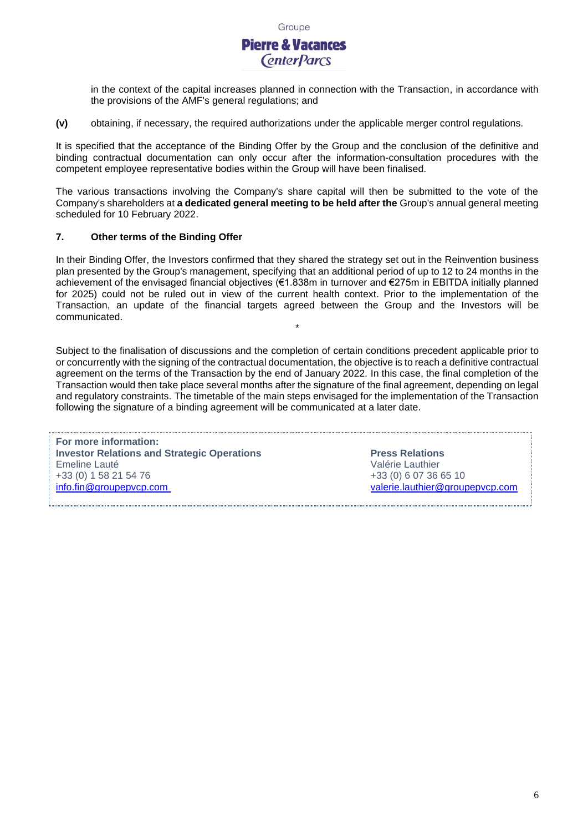# **Pierre & Vacances CenterParcs**

in the context of the capital increases planned in connection with the Transaction, in accordance with the provisions of the AMF's general regulations; and

**(v)** obtaining, if necessary, the required authorizations under the applicable merger control regulations.

It is specified that the acceptance of the Binding Offer by the Group and the conclusion of the definitive and binding contractual documentation can only occur after the information-consultation procedures with the competent employee representative bodies within the Group will have been finalised.

The various transactions involving the Company's share capital will then be submitted to the vote of the Company's shareholders at **a dedicated general meeting to be held after the** Group's annual general meeting scheduled for 10 February 2022.

# **7. Other terms of the Binding Offer**

In their Binding Offer, the Investors confirmed that they shared the strategy set out in the Reinvention business plan presented by the Group's management, specifying that an additional period of up to 12 to 24 months in the achievement of the envisaged financial objectives (€1.838m in turnover and €275m in EBITDA initially planned for 2025) could not be ruled out in view of the current health context. Prior to the implementation of the Transaction, an update of the financial targets agreed between the Group and the Investors will be communicated.

\*

Subject to the finalisation of discussions and the completion of certain conditions precedent applicable prior to or concurrently with the signing of the contractual documentation, the objective is to reach a definitive contractual agreement on the terms of the Transaction by the end of January 2022. In this case, the final completion of the Transaction would then take place several months after the signature of the final agreement, depending on legal and regulatory constraints. The timetable of the main steps envisaged for the implementation of the Transaction following the signature of a binding agreement will be communicated at a later date.

**For more information: Investor Relations and Strategic Operations <b>Press Relations Press Relations** Emeline Lauté **Valérie Lauthier** +33 (0) 1 58 21 54 76 +33 (0) 6 07 36 65 10<br>
info.fin@groupepvcp.com + +33 (0) 6 07 36 65 10

[valerie.lauthier@groupepvcp.com](mailto:valerie.lauthier@groupepvcp.com)